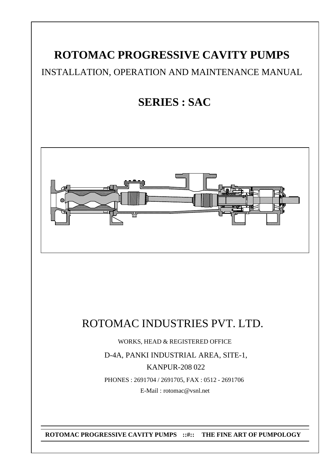# **ROTOMAC PROGRESSIVE CAVITY PUMPS**

# INSTALLATION, OPERATION AND MAINTENANCE MANUAL

# **SERIES : SAC**



# ROTOMAC INDUSTRIES PVT. LTD.

WORKS, HEAD & REGISTERED OFFICE

D-4A, PANKI INDUSTRIAL AREA, SITE-1, KANPUR-208 022 PHONES : 2691704 / 2691705, FAX : 0512 - 2691706

E-Mail : rotomac@vsnl.net

**ROTOMAC PROGRESSIVE CAVITY PUMPS ::#:: THE FINE ART OF PUMPOLOGY**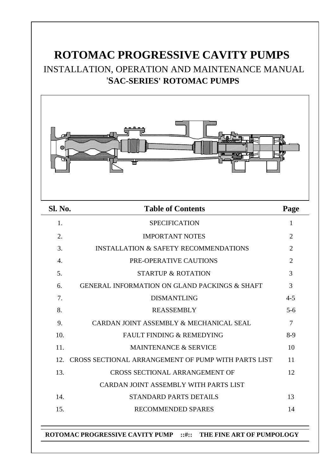# **ROTOMAC PROGRESSIVE CAVITY PUMPS** INSTALLATION, OPERATION AND MAINTENANCE MANUAL '**SAC-SERIES' ROTOMAC PUMPS**



| <b>SPECIFICATION</b><br>1.<br>1<br><b>IMPORTANT NOTES</b><br>$\overline{2}$<br>2.<br><b>INSTALLATION &amp; SAFETY RECOMMENDATIONS</b><br>$\overline{2}$<br>3.<br>$\overline{2}$<br>PRE-OPERATIVE CAUTIONS<br>4.<br>3<br>5.<br><b>STARTUP &amp; ROTATION</b><br>3<br><b>GENERAL INFORMATION ON GLAND PACKINGS &amp; SHAFT</b><br>6.<br>7.<br><b>DISMANTLING</b><br>$4 - 5$<br>8.<br><b>REASSEMBLY</b><br>$5-6$<br>$\overline{7}$<br>CARDAN JOINT ASSEMBLY & MECHANICAL SEAL<br>9.<br><b>FAULT FINDING &amp; REMEDYING</b><br>10.<br>$8-9$<br>11.<br><b>MAINTENANCE &amp; SERVICE</b><br>10<br>CROSS SECTIONAL ARRANGEMENT OF PUMP WITH PARTS LIST<br>11<br>12.<br>13.<br>CROSS SECTIONAL ARRANGEMENT OF<br>12<br>CARDAN JOINT ASSEMBLY WITH PARTS LIST<br>14.<br><b>STANDARD PARTS DETAILS</b><br>13<br>15.<br><b>RECOMMENDED SPARES</b><br>14 | Sl. No. | <b>Table of Contents</b> | Page |
|-----------------------------------------------------------------------------------------------------------------------------------------------------------------------------------------------------------------------------------------------------------------------------------------------------------------------------------------------------------------------------------------------------------------------------------------------------------------------------------------------------------------------------------------------------------------------------------------------------------------------------------------------------------------------------------------------------------------------------------------------------------------------------------------------------------------------------------------------|---------|--------------------------|------|
|                                                                                                                                                                                                                                                                                                                                                                                                                                                                                                                                                                                                                                                                                                                                                                                                                                               |         |                          |      |
|                                                                                                                                                                                                                                                                                                                                                                                                                                                                                                                                                                                                                                                                                                                                                                                                                                               |         |                          |      |
|                                                                                                                                                                                                                                                                                                                                                                                                                                                                                                                                                                                                                                                                                                                                                                                                                                               |         |                          |      |
|                                                                                                                                                                                                                                                                                                                                                                                                                                                                                                                                                                                                                                                                                                                                                                                                                                               |         |                          |      |
|                                                                                                                                                                                                                                                                                                                                                                                                                                                                                                                                                                                                                                                                                                                                                                                                                                               |         |                          |      |
|                                                                                                                                                                                                                                                                                                                                                                                                                                                                                                                                                                                                                                                                                                                                                                                                                                               |         |                          |      |
|                                                                                                                                                                                                                                                                                                                                                                                                                                                                                                                                                                                                                                                                                                                                                                                                                                               |         |                          |      |
|                                                                                                                                                                                                                                                                                                                                                                                                                                                                                                                                                                                                                                                                                                                                                                                                                                               |         |                          |      |
|                                                                                                                                                                                                                                                                                                                                                                                                                                                                                                                                                                                                                                                                                                                                                                                                                                               |         |                          |      |
|                                                                                                                                                                                                                                                                                                                                                                                                                                                                                                                                                                                                                                                                                                                                                                                                                                               |         |                          |      |
|                                                                                                                                                                                                                                                                                                                                                                                                                                                                                                                                                                                                                                                                                                                                                                                                                                               |         |                          |      |
|                                                                                                                                                                                                                                                                                                                                                                                                                                                                                                                                                                                                                                                                                                                                                                                                                                               |         |                          |      |
|                                                                                                                                                                                                                                                                                                                                                                                                                                                                                                                                                                                                                                                                                                                                                                                                                                               |         |                          |      |
|                                                                                                                                                                                                                                                                                                                                                                                                                                                                                                                                                                                                                                                                                                                                                                                                                                               |         |                          |      |
|                                                                                                                                                                                                                                                                                                                                                                                                                                                                                                                                                                                                                                                                                                                                                                                                                                               |         |                          |      |
|                                                                                                                                                                                                                                                                                                                                                                                                                                                                                                                                                                                                                                                                                                                                                                                                                                               |         |                          |      |

### **ROTOMAC PROGRESSIVE CAVITY PUMP ::#:: THE FINE ART OF PUMPOLOGY**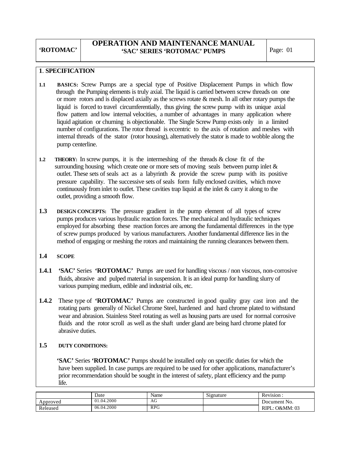### **OPERATION AND MAINTENANCE MANUAL 'SAC' SERIES 'ROTOMAC' PUMPS** | Page: 01

#### **1**. **SPECIFICATION**

- **1.1 BASICS:** Screw Pumps are a special type of Positive Displacement Pumps in which flow through the Pumping elements is truly axial. The liquid is carried between screw threads on one or more rotors and is displaced axially as the screws rotate & mesh. In all other rotary pumps the liquid is forced to travel circumferentially, thus giving the screw pump with its unique axial flow pattern and low internal velocities, a number of advantages in many application where liquid agitation or churning is objectionable. The Single Screw Pump exists only in a limited number of configurations. The rotor thread is eccentric to the axis of rotation and meshes with internal threads of the stator (rotor housing), alternatively the stator is made to wobble along the pump centerline.
- **1.2 THEORY:** In screw pumps, it is the intermeshing of the threads & close fit of the surrounding housing which create one or more sets of moving seals between pump inlet  $\&$  outlet. These sets of seals act as a labyrinth & provide the screw pump with its positive pressure capability. The successive sets of seals form fully enclosed cavities, which move continuously from inlet to outlet. These cavities trap liquid at the inlet & carry it along to the outlet, providing a smooth flow.
- **1.3 DESIGN CONCEPTS:** The pressure gradient in the pump element of all types of screw pumps produces various hydraulic reaction forces. The mechanical and hydraulic techniques employed for absorbing these reaction forces are among the fundamental differences in the type of screw pumps produced by various manufacturers. Another fundamental difference lies in the method of engaging or meshing the rotors and maintaining the running clearances between them.

#### **1.4 SCOPE**

- **1.4.1 'SAC'** Series **'ROTOMAC'** Pumps are used for handling viscous / non viscous, non-corrosive fluids, abrasive and pulped material in suspension. It is an ideal pump for handling slurry of various pumping medium, edible and industrial oils, etc.
- **1.4.2** These type of **'ROTOMAC'** Pumps are constructed in good quality gray cast iron and the rotating parts generally of Nickel Chrome Steel, hardened and hard chrome plated to withstand wear and abrasion. Stainless Steel rotating as well as housing parts are used for normal corrosive fluids and the rotor scroll as well as the shaft under gland are being hard chrome plated for abrasive duties.

### **1.5 DUTY CONDITIONS:**

 **'SAC'** Series **'ROTOMAC'** Pumps should be installed only on specific duties for which the have been supplied. In case pumps are required to be used for other applications, manufacturer's prior recommendation should be sought in the interest of safety, plant efficiency and the pump life.

|          | Date       | Name       | Signature | $\mathbf{r}$<br>Revision. |
|----------|------------|------------|-----------|---------------------------|
| Approved | 01.04.2000 | AG         |           | Document No.              |
| Released | 06.04.2000 | <b>RPG</b> |           | O&MM: 03<br>RIPL:         |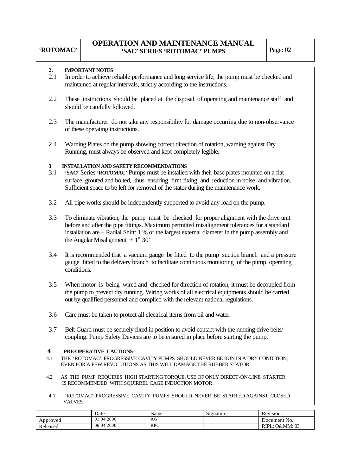### **OPERATION AND MAINTENANCE MANUAL**  'SAC' SERIES 'ROTOMAC' PUMPS | Page: 02

### **2. IMPORTANT NOTES**

- 2.1 In order to achieve reliable performance and long service life, the pump must be checked and maintained at regular intervals, strictly according to the instructions.
- 2.2 These instructions should be placed at the disposal of operating and maintenance staff and should be carefully followed.
- 2.3 The manufacturer do not take any responsibility for damage occurring due to non-observance of these operating instructions.
- 2.4 Warning Plates on the pump showing correct direction of rotation, warning against Dry Running, must always be observed and kept completely legible.

#### **3 INSTALLATION AND SAFETY RECOMMENDATIONS**

- 3.1 **'SAC'** Series **'ROTOMAC'** Pumps must be installed with their base plates mounted on a flat surface, grouted and bolted, thus ensuring firm fixing and reduction in noise and vibration. Sufficient space to be left for removal of the stator during the maintenance work.
- 3.2 All pipe works should be independently supported to avoid any load on the pump.
- 3.3 To eliminate vibration, the pump must be checked for proper alignment with the drive unit before and after the pipe fittings. Maximum permitted misalignment tolerances for a standard installation are – Radial Shift: 1 % of the largest external diameter in the pump assembly and the Angular Misalignment:  $\pm 1^{\circ} 30'$
- 3.4 It is recommended that a vacuum gauge be fitted to the pump suction branch and a pressure gauge fitted to the delivery branch to facilitate continuous monitoring of the pump operating conditions.
- 3.5 When motor is being wired and checked for direction of rotation, it must be decoupled from the pump to prevent dry running. Wiring works of all electrical equipments should be carried out by qualified personnel and complied with the relevant national regulations.
- 3.6 Care must be taken to protect all electrical items from oil and water.
- 3.7 Belt Guard must be securely fixed in position to avoid contact with the running drive belts/ coupling. Pump Safety Devices are to be ensured in place before starting the pump.

#### **4 PRE-OPERATIVE CAUTIONS**

- 4.1THE 'ROTOMAC' PROGRESSIVE CAVITY PUMPS SHOULD NEVER BE RUN IN A DRY CONDITION, EVEN FOR A FEW REVOLUTIONS AS THIS WILL DAMAGE THE RUBBER STATOR.
- 4.2 AS THE PUMP REQUIRES HIGH STARTING TORQUE, USE OF ONLY DIRECT-ON-LINE STARTER IS RECOMMENDED WITH SQUIRREL CAGE INDUCTION MOTOR.
- 4.1 'ROTOMAC' PROGRESSIVE CAVITY PUMPS SHOULD NEVER BE STARTED AGAINST CLOSED VALVES.

|          | Date       | Name         | Signature | Revision:            |
|----------|------------|--------------|-----------|----------------------|
| Approved | 01.04.2000 | AG<br>$\sim$ |           | Document No.         |
| Released | 06.04.2000 | <b>RPG</b>   |           | .: O&MM: 03<br>RIPL: |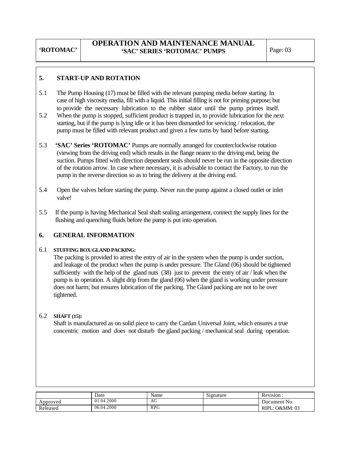### **OPERATION AND MAINTENANCE MANUAL**  'SAC' SERIES 'ROTOMAC' PUMPS | Page: 03

### **5. START**-**UP AND ROTATION**

- 5.1 The Pump Housing (17) must be filled with the relevant pumping media before starting. In case of high viscosity media, fill with a liquid. This initial filling is not for priming purpose; but to provide the necessary lubrication to the rubber stator until the pump primes itself.
- 5.2 When the pump is stopped, sufficient product is trapped in, to provide lubrication for the next starting, but if the pump is lying idle or it has been dismantled for servicing / relocation, the pump must be filled with relevant product and given a few turns by hand before starting.
- 5.3 **'SAC' Series 'ROTOMAC'** Pumps are normally arranged for counterclockwise rotation (viewing from the driving end) which results in the flange nearer to the driving end, being the suction. Pumps fitted with direction dependent seals should never be run in the opposite direction of the rotation arrow. In case where necessary, it is advisable to contact the Factory, to run the pump in the reverse direction so as to bring the delivery at the driving end.
- 5.4 Open the valves before starting the pump. Never run the pump against a closed outlet or inlet valve!
- 5.5 If the pump is having Mechanical Seal shaft sealing arrangement, connect the supply lines for the flushing and quenching fluids before the pump is put into operation.

### **6. GENERAL INFORMATION**

#### 6.1 **STUFFING BOX**/**GLAND PACKING:**

 The packing is provided to arrest the entry of air in the system when the pump is under suction, and leakage of the product when the pump is under pressure. The Gland (06) should be tightened sufficiently with the help of the gland nuts (38) just to prevent the entry of air / leak when the pump is in operation. A slight drip from the gland (06) when the gland is working under pressure does not harm; but ensures lubrication of the packing. The Gland packing are not to be over tightened.

### 6.2 **SHAFT (15):**

 Shaft is manufactured as on solid piece to carry the Cardan Universal Joint, which ensures a true concentric motion and does not disturb the gland packing / mechanical seal during operation.

|          | Date       | Name       | Signature | <u>n</u><br>Revision. |
|----------|------------|------------|-----------|-----------------------|
| Approved | 01.04.2000 | AU         |           | Document No.          |
| Released | 06.04.2000 | <b>RPG</b> |           | O&MM: 03<br>RIPL:     |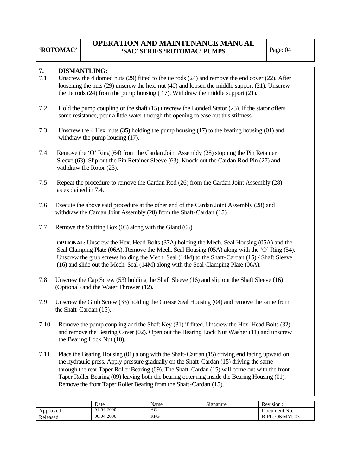Released

### **OPERATION AND MAINTENANCE MANUAL**  'SAC' SERIES 'ROTOMAC' PUMPS Page: 04

RIPL: O&MM: 03

| 7.       | <b>DISMANTLING:</b>                                                                                                                                                                                                                                                                                                                                                                  |                                                                                                                                                                                                                                                                                                                                                                                                                                                                  |            |           |                |  |  |  |  |  |  |
|----------|--------------------------------------------------------------------------------------------------------------------------------------------------------------------------------------------------------------------------------------------------------------------------------------------------------------------------------------------------------------------------------------|------------------------------------------------------------------------------------------------------------------------------------------------------------------------------------------------------------------------------------------------------------------------------------------------------------------------------------------------------------------------------------------------------------------------------------------------------------------|------------|-----------|----------------|--|--|--|--|--|--|
| 7.1      | Unscrew the 4 domed nuts $(29)$ fitted to the tie rods $(24)$ and remove the end cover $(22)$ . After<br>loosening the nuts $(29)$ unscrew the hex. nut $(40)$ and loosen the middle support $(21)$ . Unscrew<br>the tie rods $(24)$ from the pump housing $(17)$ . Withdraw the middle support $(21)$ .                                                                             |                                                                                                                                                                                                                                                                                                                                                                                                                                                                  |            |           |                |  |  |  |  |  |  |
| 7.2      |                                                                                                                                                                                                                                                                                                                                                                                      | Hold the pump coupling or the shaft $(15)$ unscrew the Bonded Stator $(25)$ . If the stator offers<br>some resistance, pour a little water through the opening to ease out this stiffness.                                                                                                                                                                                                                                                                       |            |           |                |  |  |  |  |  |  |
| 7.3      | Unscrew the 4 Hex. nuts $(35)$ holding the pump housing $(17)$ to the bearing housing $(01)$ and<br>withdraw the pump housing $(17)$ .                                                                                                                                                                                                                                               |                                                                                                                                                                                                                                                                                                                                                                                                                                                                  |            |           |                |  |  |  |  |  |  |
| 7.4      | Remove the 'O' Ring (64) from the Cardan Joint Assembly (28) stopping the Pin Retainer<br>Sleeve (63). Slip out the Pin Retainer Sleeve (63). Knock out the Cardan Rod Pin (27) and<br>withdraw the Rotor $(23)$ .                                                                                                                                                                   |                                                                                                                                                                                                                                                                                                                                                                                                                                                                  |            |           |                |  |  |  |  |  |  |
| 7.5      | as explained in 7.4.                                                                                                                                                                                                                                                                                                                                                                 | Repeat the procedure to remove the Cardan Rod (26) from the Cardan Joint Assembly (28)                                                                                                                                                                                                                                                                                                                                                                           |            |           |                |  |  |  |  |  |  |
| 7.6      |                                                                                                                                                                                                                                                                                                                                                                                      | Execute the above said procedure at the other end of the Cardan Joint Assembly (28) and<br>withdraw the Cardan Joint Assembly (28) from the Shaft-Cardan (15).                                                                                                                                                                                                                                                                                                   |            |           |                |  |  |  |  |  |  |
| 7.7      |                                                                                                                                                                                                                                                                                                                                                                                      | Remove the Stuffing Box (05) along with the Gland (06).                                                                                                                                                                                                                                                                                                                                                                                                          |            |           |                |  |  |  |  |  |  |
|          | <b>OPTIONAL:</b> Unscrew the Hex. Head Bolts (37A) holding the Mech. Seal Housing (05A) and the<br>Seal Clamping Plate (06A). Remove the Mech. Seal Housing (05A) along with the 'O' Ring (54).<br>Unscrew the grub screws holding the Mech. Seal (14M) to the Shaft-Cardan (15) / Shaft Sleeve<br>(16) and slide out the Mech. Seal (14M) along with the Seal Clamping Plate (06A). |                                                                                                                                                                                                                                                                                                                                                                                                                                                                  |            |           |                |  |  |  |  |  |  |
| 7.8      |                                                                                                                                                                                                                                                                                                                                                                                      | Unscrew the Cap Screw (53) holding the Shaft Sleeve (16) and slip out the Shaft Sleeve (16)<br>(Optional) and the Water Thrower (12).                                                                                                                                                                                                                                                                                                                            |            |           |                |  |  |  |  |  |  |
| 7.9      | the Shaft-Cardan (15).                                                                                                                                                                                                                                                                                                                                                               | Unscrew the Grub Screw (33) holding the Grease Seal Housing (04) and remove the same from                                                                                                                                                                                                                                                                                                                                                                        |            |           |                |  |  |  |  |  |  |
| 7.10     | Remove the pump coupling and the Shaft Key (31) if fitted. Unscrew the Hex. Head Bolts (32)<br>and remove the Bearing Cover (02). Open out the Bearing Lock Nut Washer (11) and unscrew<br>the Bearing Lock Nut (10).                                                                                                                                                                |                                                                                                                                                                                                                                                                                                                                                                                                                                                                  |            |           |                |  |  |  |  |  |  |
| 7.11     |                                                                                                                                                                                                                                                                                                                                                                                      | Place the Bearing Housing (01) along with the Shaft-Cardan (15) driving end facing upward on<br>the hydraulic press. Apply pressure gradually on the Shaft-Cardan (15) driving the same<br>through the rear Taper Roller Bearing (09). The Shaft-Cardan (15) will come out with the front<br>Taper Roller Bearing (09) leaving both the bearing outer ring inside the Bearing Housing (01).<br>Remove the front Taper Roller Bearing from the Shaft-Cardan (15). |            |           |                |  |  |  |  |  |  |
|          |                                                                                                                                                                                                                                                                                                                                                                                      | Date                                                                                                                                                                                                                                                                                                                                                                                                                                                             | Name       | Signature | Revision:      |  |  |  |  |  |  |
| Approved |                                                                                                                                                                                                                                                                                                                                                                                      | 01.04.2000                                                                                                                                                                                                                                                                                                                                                                                                                                                       | AG         |           | Document No.   |  |  |  |  |  |  |
| Released |                                                                                                                                                                                                                                                                                                                                                                                      | 06.04.2000                                                                                                                                                                                                                                                                                                                                                                                                                                                       | <b>RPG</b> |           | RIPL: O&MM: 03 |  |  |  |  |  |  |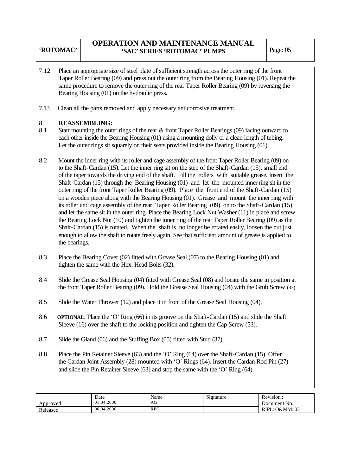### **OPERATION AND MAINTENANCE MANUAL**  'SAC' SERIES 'ROTOMAC' PUMPS | Page: 05

- 7.12 Place an appropriate size of steel plate of sufficient strength across the outer ring of the front Taper Roller Bearing (09) and press out the outer ring from the Bearing Housing (01). Repeat the same procedure to remove the outer ring of the rear Taper Roller Bearing (09) by reversing the Bearing Housing (01) on the hydraulic press.
- 7.13 Clean all the parts removed and apply necessary anticorrosive treatment.

### 8. **REASSEMBLING:**

- 8.1 Start mounting the outer rings of the rear & front Taper Roller Bearings (09) facing outward to each other inside the Bearing Housing (01) using a mounting dolly or a clean length of tubing. Let the outer rings sit squarely on their seats provided inside the Bearing Housing (01).
- 8.2 Mount the inner ring with its roller and cage assembly of the front Taper Roller Bearing (09) on to the Shaft-Cardan (15). Let the inner ring sit on the step of the Shaft-Cardan (15), small end of the taper towards the driving end of the shaft. Fill the rollers with suitable grease. Insert the Shaft-Cardan (15) through the Bearing Housing (01) and let the mounted inner ring sit in the outer ring of the front Taper Roller Bearing (09). Place the front end of the Shaft-Cardan (15) on a wooden piece along with the Bearing Housing (01). Grease and mount the inner ring with its roller and cage assembly of the rear Taper Roller Bearing (09) on to the Shaft-Cardan (15) and let the same sit in the outer ring. Place the Bearing Lock Nut Washer (11) in place and screw the Bearing Lock Nut (10) and tighten the inner ring of the rear Taper Roller Bearing (09) as the Shaft-Cardan (15) is rotated. When the shaft is no longer be rotated easily, loosen the nut just enough to allow the shaft to rotate freely again. See that sufficient amount of grease is applied to the bearings.
- 8.3 Place the Bearing Cover (02) fitted with Grease Seal (07) to the Bearing Housing (01) and tighten the same with the Hex. Head Bolts (32).
- 8.4 Slide the Grease Seal Housing (04) fitted with Grease Seal (08) and locate the same in position at the front Taper Roller Bearing (09). Hold the Grease Seal Housing (04) with the Grub Screw (33)
- 8.5 Slide the Water Thrower (12) and place it in front of the Grease Seal Housing (04).
- 8.6 **OPTIONAL:** Place the 'O' Ring (66) in its groove on the Shaft-Cardan (15) and slide the Shaft Sleeve (16) over the shaft to the locking position and tighten the Cap Screw (53).
- 8.7 Slide the Gland (06) and the Stuffing Box (05) fitted with Stud (37).
- 8.8 Place the Pin Retainer Sleeve (63) and the 'O' Ring (64) over the Shaft-Cardan (15). Offer the Cardan Joint Assembly (28) mounted with 'O' Rings (64). Insert the Cardan Rod Pin (27) and slide the Pin Retainer Sleeve (63) and stop the same with the 'O' Ring (64).

|          | Date       | Name       | $\sim \cdot$<br>Signature | $\ddot{\phantom{1}}$<br>$\blacksquare$<br>Revision |
|----------|------------|------------|---------------------------|----------------------------------------------------|
| Approved | 01.04.2000 | AG         |                           | Document No.                                       |
| Released | 06.04.2000 | <b>RPG</b> |                           | O&MM: 03<br>RIPL:                                  |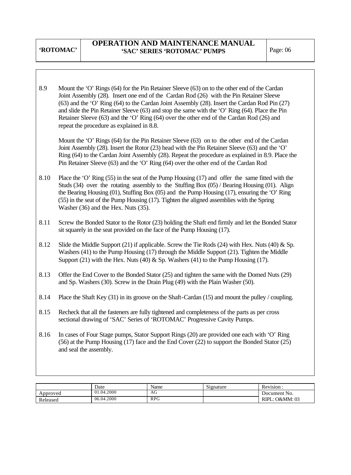## **OPERATION AND MAINTENANCE MANUAL**  'SAC' SERIES 'ROTOMAC' PUMPS Page: 06

| 8.9  | Mount the 'O' Rings (64) for the Pin Retainer Sleeve (63) on to the other end of the Cardan<br>Joint Assembly (28). Insert one end of the Cardan Rod (26) with the Pin Retainer Sleeve<br>(63) and the 'O' Ring (64) to the Cardan Joint Assembly (28). Insert the Cardan Rod Pin (27)<br>and slide the Pin Retainer Sleeve (63) and stop the same with the 'O' Ring (64). Place the Pin<br>Retainer Sleeve (63) and the 'O' Ring (64) over the other end of the Cardan Rod (26) and<br>repeat the procedure as explained in 8.8. |
|------|-----------------------------------------------------------------------------------------------------------------------------------------------------------------------------------------------------------------------------------------------------------------------------------------------------------------------------------------------------------------------------------------------------------------------------------------------------------------------------------------------------------------------------------|
|      | Mount the 'O' Rings (64) for the Pin Retainer Sleeve (63) on to the other end of the Cardan<br>Joint Assembly (28). Insert the Rotor (23) head with the Pin Retainer Sleeve (63) and the 'O'<br>Ring (64) to the Cardan Joint Assembly (28). Repeat the procedure as explained in 8.9. Place the<br>Pin Retainer Sleeve (63) and the 'O' Ring (64) over the other end of the Cardan Rod                                                                                                                                           |
| 8.10 | Place the 'O' Ring $(55)$ in the seat of the Pump Housing $(17)$ and offer the same fitted with the<br>Studs (34) over the rotating assembly to the Stuffing Box (05) / Bearing Housing (01). Align<br>the Bearing Housing $(01)$ , Stuffing Box $(05)$ and the Pump Housing $(17)$ , ensuring the 'O' Ring<br>(55) in the seat of the Pump Housing (17). Tighten the aligned assemblies with the Spring<br>Washer (36) and the Hex. Nuts (35).                                                                                   |
| 8.11 | Screw the Bonded Stator to the Rotor (23) holding the Shaft end firmly and let the Bonded Stator<br>sit squarely in the seat provided on the face of the Pump Housing (17).                                                                                                                                                                                                                                                                                                                                                       |
| 8.12 | Slide the Middle Support (21) if applicable. Screw the Tie Rods (24) with Hex. Nuts (40) $\&$ Sp.<br>Washers (41) to the Pump Housing (17) through the Middle Support (21). Tighten the Middle<br>Support (21) with the Hex. Nuts (40) & Sp. Washers (41) to the Pump Housing (17).                                                                                                                                                                                                                                               |
| 8.13 | Offer the End Cover to the Bonded Stator (25) and tighten the same with the Domed Nuts (29)<br>and Sp. Washers (30). Screw in the Drain Plug (49) with the Plain Washer (50).                                                                                                                                                                                                                                                                                                                                                     |
| 8.14 | Place the Shaft Key $(31)$ in its groove on the Shaft-Cardan $(15)$ and mount the pulley / coupling.                                                                                                                                                                                                                                                                                                                                                                                                                              |
| 8.15 | Recheck that all the fasteners are fully tightened and completeness of the parts as per cross<br>sectional drawing of 'SAC' Series of 'ROTOMAC' Progressive Cavity Pumps.                                                                                                                                                                                                                                                                                                                                                         |
| 8.16 | In cases of Four Stage pumps, Stator Support Rings (20) are provided one each with 'O' Ring<br>$(56)$ at the Pump Housing (17) face and the End Cover (22) to support the Bonded Stator (25)<br>and seal the assembly.                                                                                                                                                                                                                                                                                                            |
|      |                                                                                                                                                                                                                                                                                                                                                                                                                                                                                                                                   |

|          | Date       | Name             | Signature | Revision:         |
|----------|------------|------------------|-----------|-------------------|
| Approved | 01.04.2000 | $\epsilon$<br>AG |           | Document No.      |
| Released | 06.04.2000 | <b>RPG</b>       |           | O&MM: 03<br>RIPL. |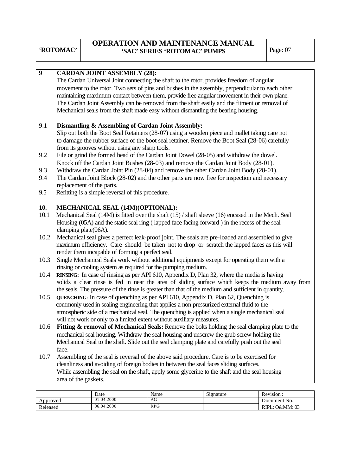### **OPERATION AND MAINTENANCE MANUAL**  'SAC' SERIES 'ROTOMAC' PUMPS Page: 07

| $\boldsymbol{9}$ |                                                                                              | <b>CARDAN JOINT ASSEMBLY (28):</b>                |                                                                       |                                                                                                     |                |  |  |  |  |  |  |
|------------------|----------------------------------------------------------------------------------------------|---------------------------------------------------|-----------------------------------------------------------------------|-----------------------------------------------------------------------------------------------------|----------------|--|--|--|--|--|--|
|                  |                                                                                              |                                                   |                                                                       | The Cardan Universal Joint connecting the shaft to the rotor, provides freedom of angular           |                |  |  |  |  |  |  |
|                  |                                                                                              |                                                   |                                                                       | movement to the rotor. Two sets of pins and bushes in the assembly, perpendicular to each other     |                |  |  |  |  |  |  |
|                  |                                                                                              |                                                   |                                                                       | maintaining maximum contact between them, provide free angular movement in their own plane.         |                |  |  |  |  |  |  |
|                  | The Cardan Joint Assembly can be removed from the shaft easily and the fitment or removal of |                                                   |                                                                       |                                                                                                     |                |  |  |  |  |  |  |
|                  |                                                                                              |                                                   |                                                                       | Mechanical seals from the shaft made easy without dismantling the bearing housing.                  |                |  |  |  |  |  |  |
|                  |                                                                                              |                                                   |                                                                       |                                                                                                     |                |  |  |  |  |  |  |
| 9.1              |                                                                                              |                                                   | Dismantling & Assembling of Cardan Joint Assembly:                    |                                                                                                     |                |  |  |  |  |  |  |
|                  |                                                                                              |                                                   |                                                                       | Slip out both the Boot Seal Retainers (28-07) using a wooden piece and mallet taking care not       |                |  |  |  |  |  |  |
|                  |                                                                                              |                                                   |                                                                       | to damage the rubber surface of the boot seal retainer. Remove the Boot Seal (28-06) carefully      |                |  |  |  |  |  |  |
|                  |                                                                                              | from its grooves without using any sharp tools.   |                                                                       |                                                                                                     |                |  |  |  |  |  |  |
| 9.2              |                                                                                              |                                                   |                                                                       |                                                                                                     |                |  |  |  |  |  |  |
|                  |                                                                                              |                                                   |                                                                       | File or grind the formed head of the Cardan Joint Dowel (28-05) and withdraw the dowel.             |                |  |  |  |  |  |  |
|                  |                                                                                              |                                                   |                                                                       | Knock off the Cardan Joint Bushes (28-03) and remove the Cardan Joint Body (28-01).                 |                |  |  |  |  |  |  |
| 9.3              |                                                                                              |                                                   |                                                                       | Withdraw the Cardan Joint Pin (28-04) and remove the other Cardan Joint Body (28-01).               |                |  |  |  |  |  |  |
| 9.4              |                                                                                              |                                                   |                                                                       | The Cardan Joint Block (28-02) and the other parts are now free for inspection and necessary        |                |  |  |  |  |  |  |
|                  | replacement of the parts.                                                                    |                                                   |                                                                       |                                                                                                     |                |  |  |  |  |  |  |
| 9.5              |                                                                                              | Refitting is a simple reversal of this procedure. |                                                                       |                                                                                                     |                |  |  |  |  |  |  |
| 10.              |                                                                                              | MECHANICAL SEAL (14M)(OPTIONAL):                  |                                                                       |                                                                                                     |                |  |  |  |  |  |  |
|                  |                                                                                              |                                                   |                                                                       | Mechanical Seal (14M) is fitted over the shaft (15) / shaft sleeve (16) encased in the Mech. Seal   |                |  |  |  |  |  |  |
| 10.1             |                                                                                              |                                                   |                                                                       |                                                                                                     |                |  |  |  |  |  |  |
|                  |                                                                                              |                                                   |                                                                       | Housing (05A) and the static seal ring (lapped face facing forward) in the recess of the seal       |                |  |  |  |  |  |  |
|                  | clamping plate(06A).                                                                         |                                                   |                                                                       |                                                                                                     |                |  |  |  |  |  |  |
| 10.2             |                                                                                              |                                                   |                                                                       | Mechanical seal gives a perfect leak-proof joint. The seals are pre-loaded and assembled to give    |                |  |  |  |  |  |  |
|                  |                                                                                              |                                                   |                                                                       | maximum efficiency. Care should be taken not to drop or scratch the lapped faces as this will       |                |  |  |  |  |  |  |
|                  |                                                                                              | render them incapable of forming a perfect seal.  |                                                                       |                                                                                                     |                |  |  |  |  |  |  |
| 10.3             |                                                                                              |                                                   |                                                                       | Single Mechanical Seals work without additional equipments except for operating them with a         |                |  |  |  |  |  |  |
|                  |                                                                                              |                                                   | rinsing or cooling system as required for the pumping medium.         |                                                                                                     |                |  |  |  |  |  |  |
| 10.4             |                                                                                              |                                                   |                                                                       | RINSING: In case of rinsing as per API 610, Appendix D, Plan 32, where the media is having          |                |  |  |  |  |  |  |
|                  |                                                                                              |                                                   |                                                                       | solids a clear rinse is fed in near the area of sliding surface which keeps the medium away from    |                |  |  |  |  |  |  |
|                  |                                                                                              |                                                   |                                                                       | the seals. The pressure of the rinse is greater than that of the medium and sufficient in quantity. |                |  |  |  |  |  |  |
| 10.5             |                                                                                              |                                                   |                                                                       | <b>QUENCHING:</b> In case of quenching as per API 610, Appendix D, Plan 62, Quenching is            |                |  |  |  |  |  |  |
|                  |                                                                                              |                                                   |                                                                       | commonly used in sealing engineering that applies a non pressurized external fluid to the           |                |  |  |  |  |  |  |
|                  |                                                                                              |                                                   |                                                                       | atmospheric side of a mechanical seal. The quenching is applied when a single mechanical seal       |                |  |  |  |  |  |  |
|                  |                                                                                              |                                                   | will not work or only to a limited extent without auxiliary measures. |                                                                                                     |                |  |  |  |  |  |  |
| 10.6             |                                                                                              |                                                   |                                                                       | Fitting & removal of Mechanical Seals: Remove the bolts holding the seal clamping plate to the      |                |  |  |  |  |  |  |
|                  |                                                                                              |                                                   |                                                                       | mechanical seal housing. Withdraw the seal housing and unscrew the grub screw holding the           |                |  |  |  |  |  |  |
|                  |                                                                                              |                                                   |                                                                       | Mechanical Seal to the shaft. Slide out the seal clamping plate and carefully push out the seal     |                |  |  |  |  |  |  |
|                  | face.                                                                                        |                                                   |                                                                       |                                                                                                     |                |  |  |  |  |  |  |
| 10.7             |                                                                                              |                                                   |                                                                       | Assembling of the seal is reversal of the above said procedure. Care is to be exercised for         |                |  |  |  |  |  |  |
|                  |                                                                                              |                                                   |                                                                       | cleanliness and avoiding of foreign bodies in between the seal faces sliding surfaces.              |                |  |  |  |  |  |  |
|                  |                                                                                              |                                                   |                                                                       | While assembling the seal on the shaft, apply some glycerine to the shaft and the seal housing      |                |  |  |  |  |  |  |
|                  | area of the gaskets.                                                                         |                                                   |                                                                       |                                                                                                     |                |  |  |  |  |  |  |
|                  |                                                                                              |                                                   |                                                                       |                                                                                                     |                |  |  |  |  |  |  |
|                  |                                                                                              | Date                                              | Name                                                                  | Signature                                                                                           | Revision:      |  |  |  |  |  |  |
| Approved         |                                                                                              | 01.04.2000                                        | AG                                                                    |                                                                                                     | Document No.   |  |  |  |  |  |  |
| Released         |                                                                                              | 06.04.2000                                        | <b>RPG</b>                                                            |                                                                                                     | RIPL: O&MM: 03 |  |  |  |  |  |  |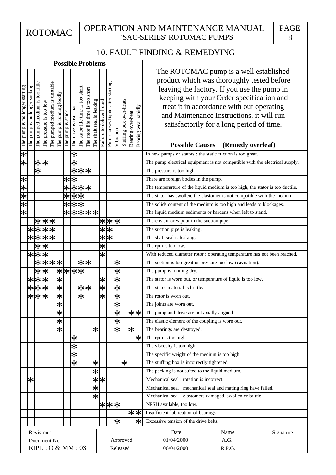PAGE 8

# 10. FAULT FINDING & REMEDYING

|                                | <b>Possible Problems</b>      |                                                                                     |                            |                               |                                                |                   |                       |                                   |                                     |                           |                           |                                   |                   |                         |                   |                         |                                                                                                                                                                                                                                                                                                                                                                        |
|--------------------------------|-------------------------------|-------------------------------------------------------------------------------------|----------------------------|-------------------------------|------------------------------------------------|-------------------|-----------------------|-----------------------------------|-------------------------------------|---------------------------|---------------------------|-----------------------------------|-------------------|-------------------------|-------------------|-------------------------|------------------------------------------------------------------------------------------------------------------------------------------------------------------------------------------------------------------------------------------------------------------------------------------------------------------------------------------------------------------------|
| The pump is no longer starting | The pump is no longer sucking | The pumped medium is too little                                                     | The pressure is too low    | The pumped medium is unstable | The pump is running loudly                     | The pump is stuck | The drive is overload | The stator life time is too short | short<br>The rotor life time is too | The shaft seal is leaking | Failure to deliver liquid | Pump looses liquid after starting | Vibration         | Stuffing box over-heats | Bearing over-heat | Bearing wear rapidly    | The ROTOMAC pump is a well established<br>product which was thoroughly tested before<br>leaving the factory. If you use the pump in<br>keeping with your Order specification and<br>treat it in accordance with our operating<br>and Maintenance Instructions, it will run<br>satisfactorily for a long period of time.<br><b>Possible Causes</b><br>(Remedy overleaf) |
| $\overline{\ast}$              |                               |                                                                                     |                            |                               |                                                |                   | $\ast$                |                                   |                                     |                           |                           |                                   |                   |                         |                   |                         | In new pumps or stators : the static friction is too great.                                                                                                                                                                                                                                                                                                            |
| $\overline{\ast}$              |                               | $\overline{\ast}$                                                                   | *                          |                               |                                                |                   | $\overline{\ast}$     |                                   |                                     |                           |                           |                                   |                   |                         |                   |                         | The pump electrical equipment is not compatible with the electrical supply.                                                                                                                                                                                                                                                                                            |
|                                |                               | $\overline{\ast}$                                                                   |                            |                               |                                                |                   | $\bigstar$            |                                   | * *                                 |                           |                           |                                   |                   |                         |                   |                         | The pressure is too high.                                                                                                                                                                                                                                                                                                                                              |
|                                |                               |                                                                                     |                            |                               |                                                |                   | $* *$                 |                                   |                                     |                           |                           |                                   |                   |                         |                   |                         | There are foreign bodies in the pump.                                                                                                                                                                                                                                                                                                                                  |
| ※※※※※※                         |                               |                                                                                     |                            |                               |                                                | $\ast$            |                       |                                   | ***                                 |                           |                           |                                   |                   |                         |                   |                         | The temperarture of the liquid medium is too high, the stator is too ductile.                                                                                                                                                                                                                                                                                          |
|                                |                               |                                                                                     |                            |                               |                                                | $\overline{\ast}$ |                       | $\overline{**}$                   |                                     |                           |                           |                                   |                   |                         |                   |                         | The stator has swollen, the elastomer is not compatible with the medium.                                                                                                                                                                                                                                                                                               |
|                                |                               |                                                                                     |                            |                               |                                                | $\overline{\ast}$ |                       | $\overline{**}$                   |                                     |                           |                           |                                   |                   |                         |                   |                         | The solids content of the medium is too high and leads to blockages.                                                                                                                                                                                                                                                                                                   |
|                                |                               |                                                                                     |                            |                               |                                                |                   |                       |                                   | ******                              |                           |                           |                                   |                   |                         |                   |                         | The liquid medium sediments or hardens when left to stand.                                                                                                                                                                                                                                                                                                             |
|                                |                               |                                                                                     | ***                        |                               |                                                |                   |                       |                                   |                                     |                           |                           | ***                               |                   |                         |                   |                         | There is air or vapour in the suction pipe.                                                                                                                                                                                                                                                                                                                            |
|                                |                               |                                                                                     |                            |                               |                                                |                   |                       |                                   |                                     |                           | $\frac{1}{\sqrt{2}}$      | $\bar{\mathbf{X}}$                |                   |                         |                   |                         | The suction pipe is leaking.                                                                                                                                                                                                                                                                                                                                           |
|                                |                               | $\frac{1}{1}$ $\frac{1}{1}$ $\frac{1}{1}$ $\frac{1}{1}$ $\frac{1}{1}$ $\frac{1}{1}$ | ***<br>***                 |                               |                                                |                   |                       |                                   |                                     |                           | $\overline{\ast}$         | $\overline{\ast}$                 |                   |                         |                   |                         | The shaft seal is leaking.                                                                                                                                                                                                                                                                                                                                             |
|                                |                               |                                                                                     | $\overline{**}$            |                               |                                                |                   |                       |                                   |                                     |                           | $\overline{\ast}$         |                                   |                   |                         |                   |                         | The rpm is too low.                                                                                                                                                                                                                                                                                                                                                    |
|                                |                               | $\frac{1}{x}$                                                                       | 氺                          |                               |                                                |                   |                       |                                   |                                     |                           | $\overline{\ast}$         |                                   |                   |                         |                   |                         | With reduced diameter rotor : operating temperature has not been reached.                                                                                                                                                                                                                                                                                              |
|                                |                               | $\overline{\ast}$                                                                   |                            | $ \mathbf{x} $ *              |                                                |                   |                       |                                   | ∗∣∗                                 |                           |                           |                                   | $\ast$            |                         |                   |                         | The suction is too great or pressure too low (cavitation).                                                                                                                                                                                                                                                                                                             |
|                                |                               | $\overline{\ast}$                                                                   | *                          |                               | $\big  \times \big  \times \big  \times \big $ |                   |                       |                                   |                                     |                           |                           |                                   | $\overline{\ast}$ |                         |                   |                         | The pump is running dry.                                                                                                                                                                                                                                                                                                                                               |
|                                | $\ast$                        |                                                                                     | $\overline{ \varkappa * }$ |                               | $\overline{\ast}$                              |                   |                       |                                   |                                     |                           | $\ast$                    |                                   | $\overline{\ast}$ |                         |                   |                         | The stator is worn out, or temperature of liquid is too low.                                                                                                                                                                                                                                                                                                           |
|                                | 서米                            | $ \varkappa $                                                                       | $\frac{1}{2}$              |                               |                                                |                   |                       |                                   | $* * $                              |                           | $\frac{1}{\lambda}$       |                                   | $\frac{1}{\ast}$  |                         |                   |                         | The stator material is brittle.                                                                                                                                                                                                                                                                                                                                        |
|                                |                               | $\left \star\right $                                                                | $\overline{\ast}$          |                               | $\frac{1}{\mathcal{K}}$                        |                   |                       | $\overline{\ast}$                 |                                     |                           | $\overline{\ast}$         |                                   |                   |                         |                   |                         | The rotor is worn out.                                                                                                                                                                                                                                                                                                                                                 |
|                                |                               |                                                                                     |                            |                               | $\overline{\ast}$                              |                   |                       |                                   |                                     |                           |                           |                                   | $\overline{\ast}$ |                         |                   |                         | The joints are worn out.                                                                                                                                                                                                                                                                                                                                               |
|                                |                               |                                                                                     |                            |                               | *                                              |                   |                       |                                   |                                     |                           |                           |                                   | ∣⋇                |                         |                   | $\left \ast\right \ast$ | The pump and drive are not axially aligned.                                                                                                                                                                                                                                                                                                                            |
|                                |                               |                                                                                     |                            |                               | *                                              |                   |                       |                                   |                                     |                           |                           |                                   | $\overline{\ast}$ |                         |                   |                         | The elastic element of the coupling is worn out.                                                                                                                                                                                                                                                                                                                       |
|                                |                               |                                                                                     |                            |                               | $\overline{\ast}$                              |                   |                       |                                   |                                     | $\ast$                    |                           |                                   | $\overline{\ast}$ |                         | ।∗                |                         | The bearings are destroyed.                                                                                                                                                                                                                                                                                                                                            |
|                                |                               |                                                                                     |                            |                               |                                                |                   | $ \ast $              |                                   |                                     |                           |                           |                                   |                   |                         |                   | $ \ast $                | The rpm is too high.                                                                                                                                                                                                                                                                                                                                                   |
|                                |                               |                                                                                     |                            |                               |                                                |                   | $*$                   |                                   |                                     |                           |                           |                                   |                   |                         |                   |                         | The viscosity is too high.                                                                                                                                                                                                                                                                                                                                             |
|                                |                               |                                                                                     |                            |                               |                                                |                   | $\bigstar$            |                                   |                                     |                           |                           |                                   |                   |                         |                   |                         | The specific weight of the medium is too high.                                                                                                                                                                                                                                                                                                                         |
|                                |                               |                                                                                     |                            |                               |                                                |                   | ⊁                     |                                   |                                     | $\ast$                    |                           |                                   |                   | *                       |                   |                         | The stuffing box is incorrectly tightened.                                                                                                                                                                                                                                                                                                                             |
|                                |                               |                                                                                     |                            |                               |                                                |                   |                       |                                   |                                     | $\overline{\ast}$         |                           |                                   |                   |                         |                   |                         | The packing is not suited to the liquid medium.                                                                                                                                                                                                                                                                                                                        |
|                                | $\ast$                        |                                                                                     |                            |                               |                                                |                   |                       |                                   |                                     |                           | $\frac{*}{*}$             |                                   |                   |                         |                   |                         | Mechanical seal : rotation is incorrect.                                                                                                                                                                                                                                                                                                                               |
|                                |                               |                                                                                     |                            |                               |                                                |                   |                       |                                   |                                     | $\overline{\ast}$         |                           |                                   |                   |                         |                   |                         | Mechanical seal : mechanical seal and mating ring have failed.                                                                                                                                                                                                                                                                                                         |
|                                |                               |                                                                                     |                            |                               |                                                |                   |                       |                                   |                                     | $\overline{\ast}$         |                           |                                   |                   |                         |                   |                         | Mechanical seal : elastomers damaged, swollen or brittle.                                                                                                                                                                                                                                                                                                              |
|                                |                               |                                                                                     |                            |                               |                                                |                   |                       |                                   |                                     |                           |                           | * * *                             |                   |                         |                   |                         | NPSH available, too low.                                                                                                                                                                                                                                                                                                                                               |
|                                |                               |                                                                                     |                            |                               |                                                |                   |                       |                                   |                                     |                           |                           |                                   |                   |                         |                   | $\left \ast\right $     | Insufficient lubrication of bearings.                                                                                                                                                                                                                                                                                                                                  |
|                                |                               |                                                                                     |                            |                               |                                                |                   |                       |                                   |                                     |                           |                           |                                   | $ \ast $          |                         |                   | $\left \ast\right $     | Excessive tension of the drive belts.                                                                                                                                                                                                                                                                                                                                  |
|                                |                               |                                                                                     | Revision:                  |                               |                                                |                   |                       |                                   |                                     |                           |                           |                                   |                   |                         |                   |                         | Name<br>Date<br>Signature                                                                                                                                                                                                                                                                                                                                              |
|                                |                               |                                                                                     |                            | Document No.:                 |                                                |                   |                       |                                   |                                     |                           |                           |                                   |                   | Approved                |                   |                         | 01/04/2000<br>A.G.                                                                                                                                                                                                                                                                                                                                                     |
| RIPL: O & MM: 03<br>Released   |                               |                                                                                     |                            |                               |                                                |                   |                       |                                   | 06/04/2000<br>R.P.G.                |                           |                           |                                   |                   |                         |                   |                         |                                                                                                                                                                                                                                                                                                                                                                        |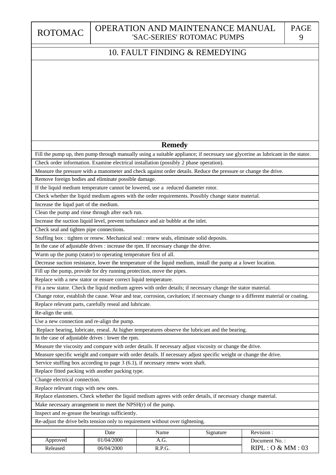Released

06/04/2000

## 10. FAULT FINDING & REMEDYING

#### Remove foreign bodies and eliminate possible damage. Service stuffing box according to page 3 (6.1), if necessary renew worn shaft. Replace relevant parts, carefully reseal and lubricate. Replace with a new stator or ensure correct liquid temperature. Fill up the pump, provide for dry running protection, move the pipes. Warm up the pump (stator) to operating temperature first of all. Make necessary arrangement to meet the NPSH(r) of the pump. Re-adjust the drive belts tension only to requirement without over tightening. Replace elastomers. Check whether the liquid medium agrees with order details, if necessary change material. Measure specific weight and compare with order details. If necessary adjust specific weight or change the drive. Measure the viscosity and compare with order details. If necessary adjust viscosity or change the drive. Replace bearing, lubricate, reseal. At higher temperatures observe the lubricant and the bearing. Change rotor, establish the cause. Wear and tear, corrosion, cavitation; if necessary change to a different material or coating. Fit a new stator. Check the liquid medium agrees with order details; if necessary change the stator material. Decrease suction resistance, lower the temperature of the liquid medium, install the pump at a lower location. In the case of adjustable drives : increase the rpm. If necessary change the drive. Stuffing box : tighten or renew. Mechanical seal : renew seals, eliminate solid deposits. Increase the suction liquid level, prevent turbulance and air bubble at the inlet. Check whether the liquid medium agrees with the order requirements. Possibly change stator material. If the liquid medium temperature cannot be lowered, use a reduced diameter rotor. Measure the pressure with a manometer and check against order details. Reduce the pressure or change the drive. Check order information. Examine electrical installation (possibly 2 phase operation). Fill the pump up, then pump through manually using a suitable appliance; if necessary use glycerine as lubricant in the stator. Change electrical connection. Replace relevant rings with new ones. Replace fitted packing with another packing type. In the case of adjustable drives : lower the rpm. Use a new connection and re-align the pump. Check seal and tighten pipe connections. Clean the pump and rinse through after each run. Increase the liqud part of the medium. Inspect and re-grease the bearings sufficiently. Approved Re-align the unit. 01/04/2000 Date Document No.: A.G. Name Signature **Remedy** Revision :

 $R.P.G.$  RIPL :  $O & M M : 03$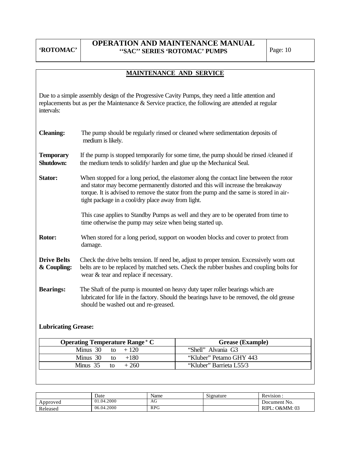### **OPERATION AND MAINTENANCE MANUAL ''SAC'' SERIES 'ROTOMAC' PUMPS** Page: 10

## **MAINTENANCE AND SERVICE**

Due to a simple assembly design of the Progressive Cavity Pumps, they need a little attention and replacements but as per the Maintenance & Service practice, the following are attended at regular intervals:

| <b>Cleaning:</b>                  | The pump should be regularly rinsed or cleaned where sedimentation deposits of<br>medium is likely.                                                                                                                                                                                                                         |
|-----------------------------------|-----------------------------------------------------------------------------------------------------------------------------------------------------------------------------------------------------------------------------------------------------------------------------------------------------------------------------|
| <b>Temporary</b><br>Shutdown:     | If the pump is stopped temporarily for some time, the pump should be rinsed /cleaned if<br>the medium tends to solidify/ harden and glue up the Mechanical Seal.                                                                                                                                                            |
| <b>Stator:</b>                    | When stopped for a long period, the elastomer along the contact line between the rotor<br>and stator may become permanently distorted and this will increase the breakaway<br>torque. It is advised to remove the stator from the pump and the same is stored in air-<br>tight package in a cool/dry place away from light. |
|                                   | This case applies to Standby Pumps as well and they are to be operated from time to<br>time otherwise the pump may seize when being started up.                                                                                                                                                                             |
| Rotor:                            | When stored for a long period, support on wooden blocks and cover to protect from<br>damage.                                                                                                                                                                                                                                |
| <b>Drive Belts</b><br>& Coupling: | Check the drive belts tension. If need be, adjust to proper tension. Excessively worn out<br>belts are to be replaced by matched sets. Check the rubber bushes and coupling bolts for<br>wear & tear and replace if necessary.                                                                                              |
| <b>Bearings:</b>                  | The Shaft of the pump is mounted on heavy duty taper roller bearings which are<br>lubricated for life in the factory. Should the bearings have to be removed, the old grease<br>should be washed out and re-greased.                                                                                                        |

### **Lubricating Grease:**

| <b>Operating Temperature Range ° C</b> | <b>Grease</b> (Example) |
|----------------------------------------|-------------------------|
| Minus 30 to $+120$                     | "Shell" Alvania G3      |
| Minus $30$ to<br>$+180$                | "Kluber" Petamo GHY 443 |
| Minus 35<br>$+260$<br>to.              | "Kluber" Barrieta L55/3 |

|          | Date       | Name       | $\sim$<br>Signature | <b>Revision</b>   |
|----------|------------|------------|---------------------|-------------------|
| Approved | 01.04.2000 | AG         |                     | Document No.      |
| Released | 06.04.2000 | <b>RPG</b> |                     | O&MM: 03<br>RIPL. |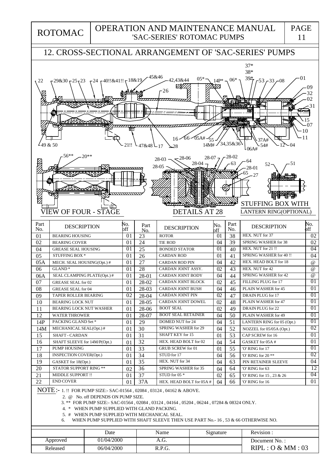ROTOMAC

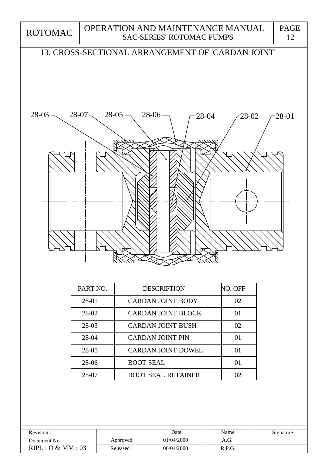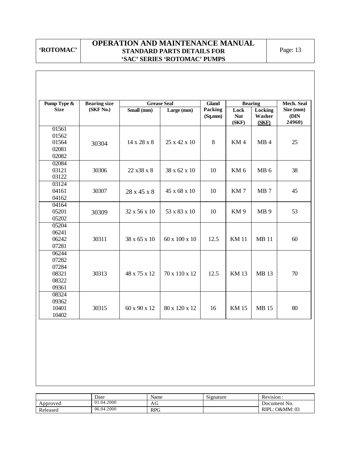### **OPERATION AND MAINTENANCE MANUAL STANDARD PARTS DETAILS FOR 'SAC' SERIES 'ROTOMAC' PUMPS**

| Pump Type &                                        | <b>Bearing size</b> |              | <b>Grease Seal</b> | <b>Gland</b>       |                             | <b>Bearing</b>             | <b>Mech. Seal</b>           |
|----------------------------------------------------|---------------------|--------------|--------------------|--------------------|-----------------------------|----------------------------|-----------------------------|
| <b>Size</b>                                        | (SKF No.)           | Small (mm)   | Large (mm)         | Packing<br>(Sq.mm) | Lock<br><b>Nut</b><br>(SKF) | Locking<br>Washer<br>(SKF) | Size (mm)<br>(DIN<br>24960) |
| 01561<br>01562<br>01564<br>02081<br>02082          | 30304               | 14 x 28 x 8  | 25 x 42 x 10       | 8                  | KM4                         | MB4                        | 25                          |
| 02084<br>03121<br>03122                            | 30306               | 22 x 38 x 8  | 38 x 62 x 10       | 10                 | KM <sub>6</sub>             | MB <sub>6</sub>            | 38                          |
| 03124<br>04161<br>04162                            | 30307               | 28 x 45 x 8  | 45 x 68 x 10       | 10                 | KM7                         | MB <sub>7</sub>            | 45                          |
| 04164<br>05201<br>05202                            | 30309               | 32 x 56 x 10 | 53 x 83 x 10       | 10                 | KM <sub>9</sub>             | MB <sub>9</sub>            | 53                          |
| 05204<br>06241<br>06242<br>07281                   | 30311               | 38 x 65 x 10 | 60 x 100 x 10      | 12.5               | <b>KM11</b>                 | <b>MB</b> 11               | 60                          |
| 06244<br>07282<br>07284<br>08321<br>08322<br>09361 | 30313               | 48 x 75 x 12 | 70 x 110 x 12      | 12.5               | <b>KM13</b>                 | MB 13                      | 70                          |
| 08324<br>09362<br>10401<br>10402                   | 30315               | 60 x 90 x 12 | 80 x 120 x 12      | 16                 | <b>KM15</b>                 | <b>MB</b> 15               | 80                          |

|          | Date       | Name       | Signature | Revision:            |
|----------|------------|------------|-----------|----------------------|
| Approved | 01.04.2000 | AG         |           | Document No.         |
| Released | 06.04.2000 | <b>RPG</b> |           | .: O&MM: 03<br>RIPL: |